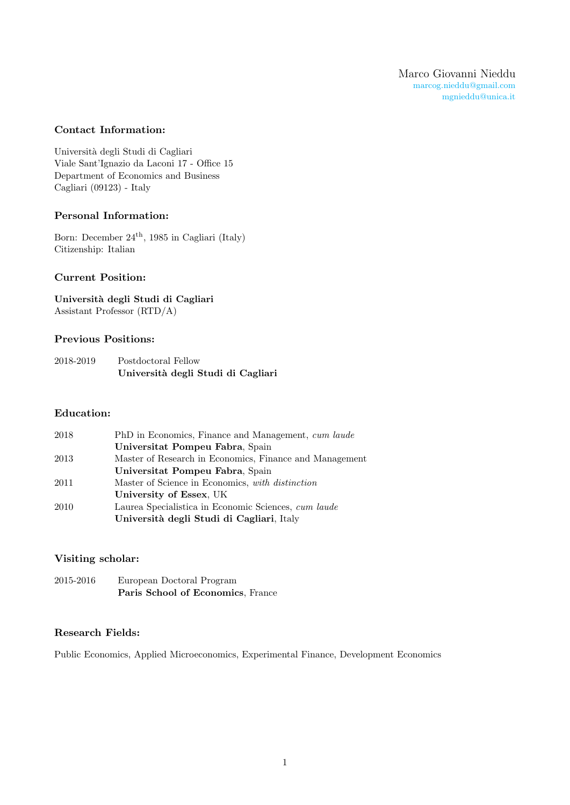### Contact Information:

Università degli Studi di Cagliari Viale Sant'Ignazio da Laconi 17 - Office 15 Department of Economics and Business Cagliari (09123) - Italy

### Personal Information:

Born: December 24th, 1985 in Cagliari (Italy) Citizenship: Italian

# Current Position:

Università degli Studi di Cagliari Assistant Professor (RTD/A)

#### Previous Positions:

| 2018-2019 | Postdoctoral Fellow                |
|-----------|------------------------------------|
|           | Università degli Studi di Cagliari |

### Education:

| 2018 | PhD in Economics, Finance and Management, cum laude     |
|------|---------------------------------------------------------|
|      | Universitat Pompeu Fabra, Spain                         |
| 2013 | Master of Research in Economics, Finance and Management |
|      | Universitat Pompeu Fabra, Spain                         |
| 2011 | Master of Science in Economics, with distinction        |
|      | University of Essex, UK                                 |
| 2010 | Laurea Specialistica in Economic Sciences, cum laude    |
|      | Università degli Studi di Cagliari, Italy               |

# Visiting scholar:

| 2015-2016 | European Doctoral Program         |
|-----------|-----------------------------------|
|           | Paris School of Economics, France |

#### Research Fields:

Public Economics, Applied Microeconomics, Experimental Finance, Development Economics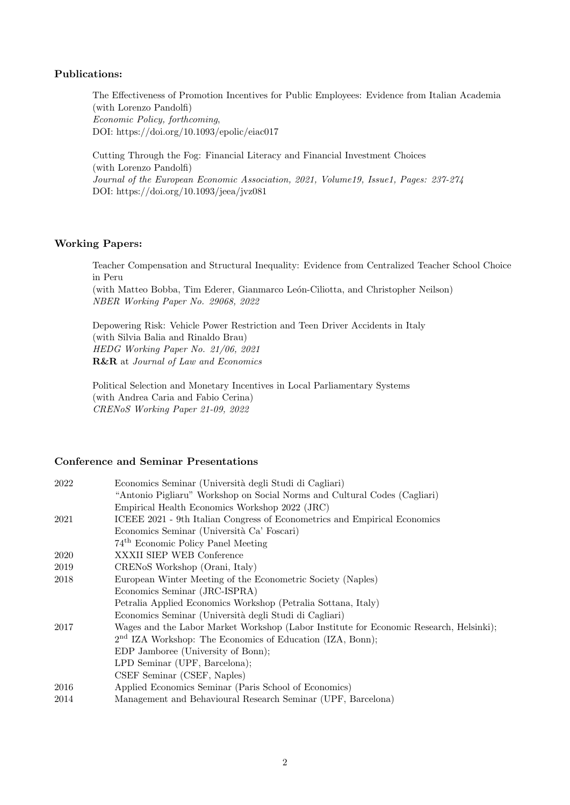### Publications:

The Effectiveness of Promotion Incentives for Public Employees: Evidence from Italian Academia (with Lorenzo Pandolfi) Economic Policy, forthcoming, DOI: https://doi.org/10.1093/epolic/eiac017

Cutting Through the Fog: Financial Literacy and Financial Investment Choices (with Lorenzo Pandolfi) Journal of the European Economic Association, 2021, Volume19, Issue1, Pages: 237-274 DOI: https://doi.org/10.1093/jeea/jvz081

# Working Papers:

Teacher Compensation and Structural Inequality: Evidence from Centralized Teacher School Choice in Peru

(with Matteo Bobba, Tim Ederer, Gianmarco León-Ciliotta, and Christopher Neilson) NBER Working Paper No. 29068, 2022

Depowering Risk: Vehicle Power Restriction and Teen Driver Accidents in Italy (with Silvia Balia and Rinaldo Brau) HEDG Working Paper No. 21/06, 2021 R&R at Journal of Law and Economics

Political Selection and Monetary Incentives in Local Parliamentary Systems (with Andrea Caria and Fabio Cerina) CRENoS Working Paper 21-09, 2022

### Conference and Seminar Presentations

| 2022 | Economics Seminar (Università degli Studi di Cagliari)                                 |
|------|----------------------------------------------------------------------------------------|
|      | "Antonio Pigliaru" Workshop on Social Norms and Cultural Codes (Cagliari)              |
|      | Empirical Health Economics Workshop 2022 (JRC)                                         |
| 2021 | ICEEE 2021 - 9th Italian Congress of Econometrics and Empirical Economics              |
|      | Economics Seminar (Università Ca' Foscari)                                             |
|      | 74 <sup>th</sup> Economic Policy Panel Meeting                                         |
| 2020 | XXXII SIEP WEB Conference                                                              |
| 2019 | CRENoS Workshop (Orani, Italy)                                                         |
| 2018 | European Winter Meeting of the Econometric Society (Naples)                            |
|      | Economics Seminar (JRC-ISPRA)                                                          |
|      | Petralia Applied Economics Workshop (Petralia Sottana, Italy)                          |
|      | Economics Seminar (Università degli Studi di Cagliari)                                 |
| 2017 | Wages and the Labor Market Workshop (Labor Institute for Economic Research, Helsinki); |
|      | 2 <sup>nd</sup> IZA Workshop: The Economics of Education (IZA, Bonn);                  |
|      | EDP Jamboree (University of Bonn);                                                     |
|      | LPD Seminar (UPF, Barcelona);                                                          |
|      | CSEF Seminar (CSEF, Naples)                                                            |
| 2016 | Applied Economics Seminar (Paris School of Economics)                                  |
| 2014 | Management and Behavioural Research Seminar (UPF, Barcelona)                           |
|      |                                                                                        |